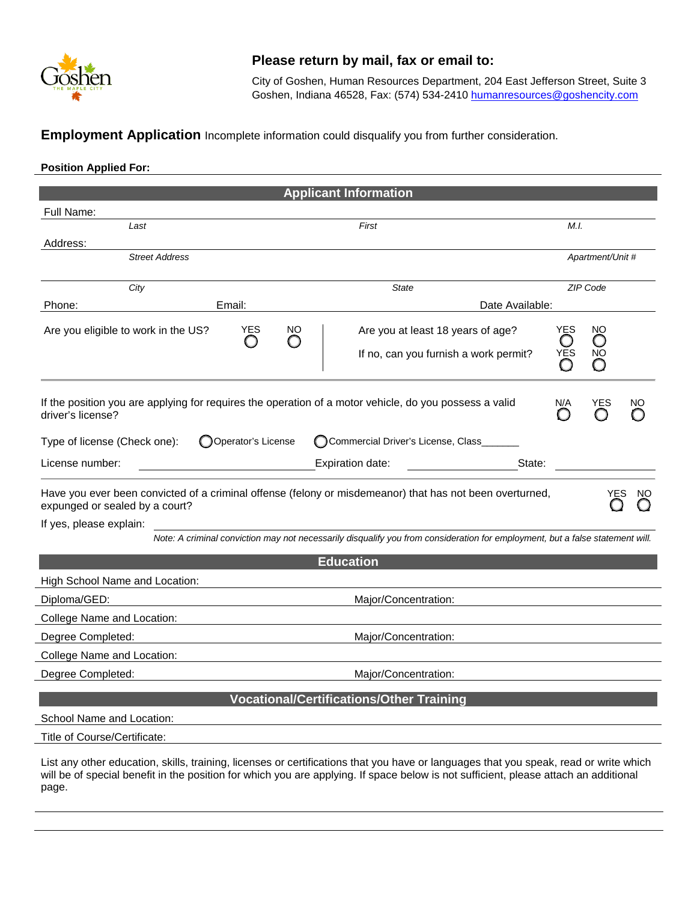

## **Please return by mail, fax or email to:**

City of Goshen, Human Resources Department, 204 East Jefferson Street, Suite 3 Goshen, Indiana 46528, Fax: (574) 534-2410 [humanresources@goshencity.com](mailto:humanresources@goshencity.com)

**Employment Application** Incomplete information could disqualify you from further consideration.

## **Position Applied For:**

| <b>Applicant Information</b>                                                                                                                                          |                     |                  |                                                                                                                               |  |            |               |          |  |  |  |  |  |
|-----------------------------------------------------------------------------------------------------------------------------------------------------------------------|---------------------|------------------|-------------------------------------------------------------------------------------------------------------------------------|--|------------|---------------|----------|--|--|--|--|--|
| Full Name:                                                                                                                                                            |                     |                  |                                                                                                                               |  |            |               |          |  |  |  |  |  |
| First<br>Last                                                                                                                                                         |                     |                  |                                                                                                                               |  |            | M.I.          |          |  |  |  |  |  |
| Address:                                                                                                                                                              |                     |                  |                                                                                                                               |  |            |               |          |  |  |  |  |  |
| <b>Street Address</b>                                                                                                                                                 |                     | Apartment/Unit # |                                                                                                                               |  |            |               |          |  |  |  |  |  |
| City                                                                                                                                                                  | <b>State</b>        |                  |                                                                                                                               |  |            |               | ZIP Code |  |  |  |  |  |
| Phone:                                                                                                                                                                | Email:              |                  | Date Available:                                                                                                               |  |            |               |          |  |  |  |  |  |
| Are you eligible to work in the US?                                                                                                                                   | YES                 | NO.              | Are you at least 18 years of age?<br>If no, can you furnish a work permit?                                                    |  | YES<br>YES | NO<br>O<br>NO |          |  |  |  |  |  |
| If the position you are applying for requires the operation of a motor vehicle, do you possess a valid<br>driver's license?                                           |                     |                  |                                                                                                                               |  |            |               | NO       |  |  |  |  |  |
| Type of license (Check one):                                                                                                                                          | OOperator's License |                  | Commercial Driver's License, Class_                                                                                           |  |            |               |          |  |  |  |  |  |
| License number:<br>Expiration date:<br>State:                                                                                                                         |                     |                  |                                                                                                                               |  |            |               |          |  |  |  |  |  |
| Have you ever been convicted of a criminal offense (felony or misdemeanor) that has not been overturned,<br>expunged or sealed by a court?<br>If yes, please explain: |                     |                  |                                                                                                                               |  | YES<br>NΟ  |               |          |  |  |  |  |  |
|                                                                                                                                                                       |                     |                  | Note: A criminal conviction may not necessarily disqualify you from consideration for employment, but a false statement will. |  |            |               |          |  |  |  |  |  |
|                                                                                                                                                                       |                     |                  | <b>Education</b>                                                                                                              |  |            |               |          |  |  |  |  |  |
| High School Name and Location:                                                                                                                                        |                     |                  |                                                                                                                               |  |            |               |          |  |  |  |  |  |
| Diploma/GED:                                                                                                                                                          |                     |                  | Major/Concentration:                                                                                                          |  |            |               |          |  |  |  |  |  |
| College Name and Location:                                                                                                                                            |                     |                  |                                                                                                                               |  |            |               |          |  |  |  |  |  |
| Degree Completed:                                                                                                                                                     |                     |                  | Major/Concentration:                                                                                                          |  |            |               |          |  |  |  |  |  |
| College Name and Location:                                                                                                                                            |                     |                  |                                                                                                                               |  |            |               |          |  |  |  |  |  |
| Degree Completed:                                                                                                                                                     |                     |                  | Major/Concentration:                                                                                                          |  |            |               |          |  |  |  |  |  |
| <b>Vocational/Certifications/Other Training</b>                                                                                                                       |                     |                  |                                                                                                                               |  |            |               |          |  |  |  |  |  |
| School Name and Location:                                                                                                                                             |                     |                  |                                                                                                                               |  |            |               |          |  |  |  |  |  |
| Title of Course/Certificate:                                                                                                                                          |                     |                  |                                                                                                                               |  |            |               |          |  |  |  |  |  |
|                                                                                                                                                                       |                     |                  |                                                                                                                               |  |            |               |          |  |  |  |  |  |

List any other education, skills, training, licenses or certifications that you have or languages that you speak, read or write which will be of special benefit in the position for which you are applying. If space below is not sufficient, please attach an additional page.